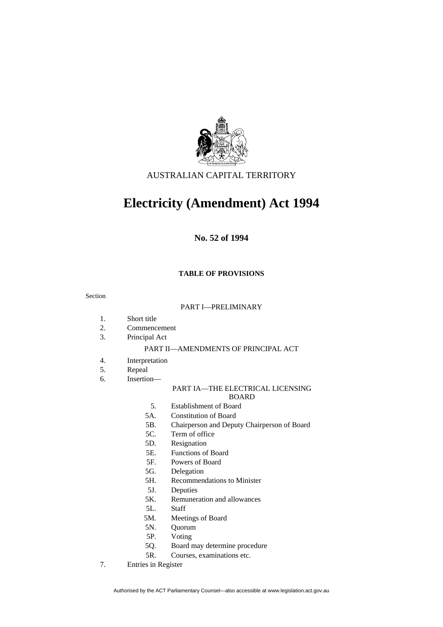

# AUSTRALIAN CAPITAL TERRITORY

# **Electricity (Amendment) Act 1994**

# **No. 52 of 1994**

# **TABLE OF PROVISIONS**

#### Section

#### PART I—PRELIMINARY

- 1. Short title
- 2. Commencement
- 3. Principal Act

#### PART II—AMENDMENTS OF PRINCIPAL ACT

- 4. Interpretation
- 5. Repeal
- 6. Insertion—

# PART IA—THE ELECTRICAL LICENSING

BOARD

- 5. Establishment of Board
- 5A. Constitution of Board
- 5B. Chairperson and Deputy Chairperson of Board
- 5C. Term of office
- 5D. Resignation
- 5E. Functions of Board
- 5F. Powers of Board
- 5G. Delegation
- 5H. Recommendations to Minister
- 5J. Deputies
- 5K. Remuneration and allowances
- 5L. Staff
- 5M. Meetings of Board
- 5N. Quorum
- 5P. Voting
- 5Q. Board may determine procedure
- 5R. Courses, examinations etc.
- 7. Entries in Register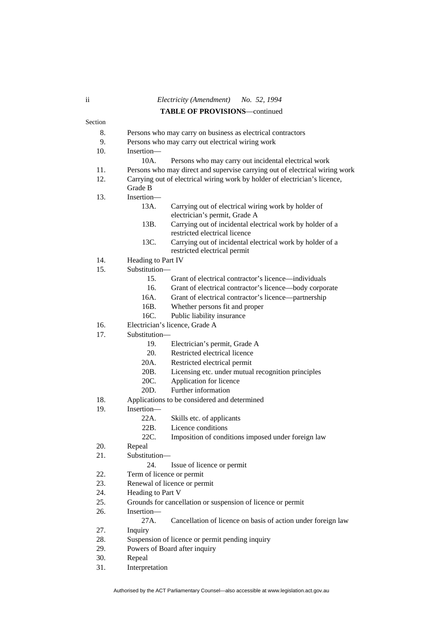# ii *Electricity (Amendment) No. 52, 1994*  **TABLE OF PROVISIONS**—continued

|         |                                                                            | <b>IADLE OF FROVISIONS—continued</b>                                                       |  |
|---------|----------------------------------------------------------------------------|--------------------------------------------------------------------------------------------|--|
| Section |                                                                            |                                                                                            |  |
| 8.      | Persons who may carry on business as electrical contractors                |                                                                                            |  |
| 9.      | Persons who may carry out electrical wiring work                           |                                                                                            |  |
| 10.     | Insertion-                                                                 |                                                                                            |  |
|         | 10A.                                                                       | Persons who may carry out incidental electrical work                                       |  |
| 11.     |                                                                            | Persons who may direct and supervise carrying out of electrical wiring work                |  |
| 12.     | Carrying out of electrical wiring work by holder of electrician's licence, |                                                                                            |  |
|         | Grade B                                                                    |                                                                                            |  |
| 13.     | Insertion-                                                                 |                                                                                            |  |
|         | 13A.                                                                       | Carrying out of electrical wiring work by holder of<br>electrician's permit, Grade A       |  |
|         | 13B.                                                                       | Carrying out of incidental electrical work by holder of a<br>restricted electrical licence |  |
|         | 13C.                                                                       | Carrying out of incidental electrical work by holder of a<br>restricted electrical permit  |  |
| 14.     | Heading to Part IV                                                         |                                                                                            |  |
| 15.     | Substitution-                                                              |                                                                                            |  |
|         | 15.                                                                        | Grant of electrical contractor's licence—individuals                                       |  |
|         | 16.                                                                        | Grant of electrical contractor's licence-body corporate                                    |  |
|         | 16A.                                                                       | Grant of electrical contractor's licence-partnership                                       |  |
|         | 16B.                                                                       | Whether persons fit and proper                                                             |  |
|         | 16C.                                                                       | Public liability insurance                                                                 |  |
| 16.     | Electrician's licence, Grade A                                             |                                                                                            |  |
| 17.     | Substitution-                                                              |                                                                                            |  |
|         | 19.                                                                        | Electrician's permit, Grade A                                                              |  |
|         | 20.                                                                        | Restricted electrical licence                                                              |  |
|         | 20A.                                                                       | Restricted electrical permit                                                               |  |
|         | 20B.                                                                       | Licensing etc. under mutual recognition principles                                         |  |
|         | 20C.                                                                       | Application for licence                                                                    |  |
|         | 20D.                                                                       | Further information                                                                        |  |
| 18.     | Applications to be considered and determined                               |                                                                                            |  |
| 19.     | Insertion-                                                                 |                                                                                            |  |
|         | 22A.                                                                       | Skills etc. of applicants                                                                  |  |
|         | 22B.                                                                       | Licence conditions                                                                         |  |
|         | 22C.                                                                       | Imposition of conditions imposed under foreign law                                         |  |
| 20.     | Repeal                                                                     |                                                                                            |  |
| 21.     | Substitution-                                                              |                                                                                            |  |
|         | 24.                                                                        | Issue of licence or permit                                                                 |  |
| 22.     | Term of licence or permit                                                  |                                                                                            |  |
| 23.     | Renewal of licence or permit                                               |                                                                                            |  |
| 24.     | Heading to Part V                                                          |                                                                                            |  |
| 25.     | Grounds for cancellation or suspension of licence or permit                |                                                                                            |  |
| 26.     | Insertion-                                                                 |                                                                                            |  |
|         | 27A.                                                                       | Cancellation of licence on basis of action under foreign law                               |  |
| 27.     | Inquiry                                                                    |                                                                                            |  |
| 28.     |                                                                            | Suspension of licence or permit pending inquiry                                            |  |
| 29.     | Powers of Board after inquiry                                              |                                                                                            |  |
| 30.     | Repeal                                                                     |                                                                                            |  |

31. Interpretation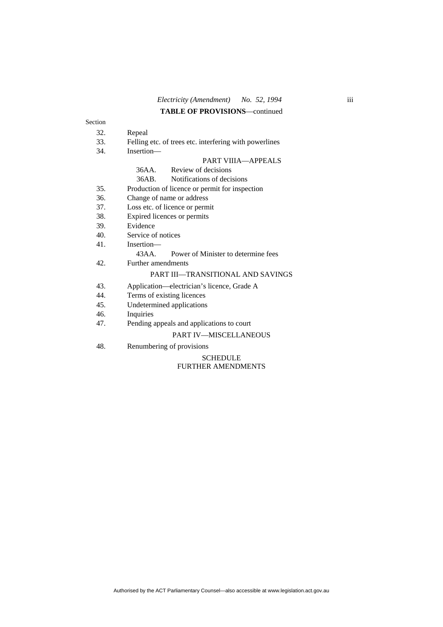# **TABLE OF PROVISIONS**—continued

| Section         |                                                        |  |  |
|-----------------|--------------------------------------------------------|--|--|
| 32.             | Repeal                                                 |  |  |
| 33.             | Felling etc. of trees etc. interfering with powerlines |  |  |
| 34.             | Insertion-                                             |  |  |
|                 | PART VIIIA—APPEALS                                     |  |  |
|                 | Review of decisions<br>36AA                            |  |  |
|                 | Notifications of decisions<br>36AB.                    |  |  |
| 35.             | Production of licence or permit for inspection         |  |  |
| 36.             | Change of name or address                              |  |  |
| 37.             | Loss etc. of licence or permit                         |  |  |
| 38.             | Expired licences or permits                            |  |  |
| 39.             | Evidence                                               |  |  |
| 40 <sub>1</sub> | Service of notices                                     |  |  |
| 41.             | Insertion-                                             |  |  |
|                 | Power of Minister to determine fees<br>43 A A          |  |  |
| 42.             | Further amendments                                     |  |  |
|                 | <b>PART III—TRANSITIONAL AND SAVINGS</b>               |  |  |
| 43.             | Application—electrician's licence, Grade A             |  |  |
| 44.             | Terms of existing licences                             |  |  |
| 45.             | Undetermined applications                              |  |  |
| 46.             | Inquiries                                              |  |  |
| 47.             | Pending appeals and applications to court              |  |  |
|                 |                                                        |  |  |

#### PART IV—MISCELLANEOUS

48. Renumbering of provisions

#### SCHEDULE FURTHER AMENDMENTS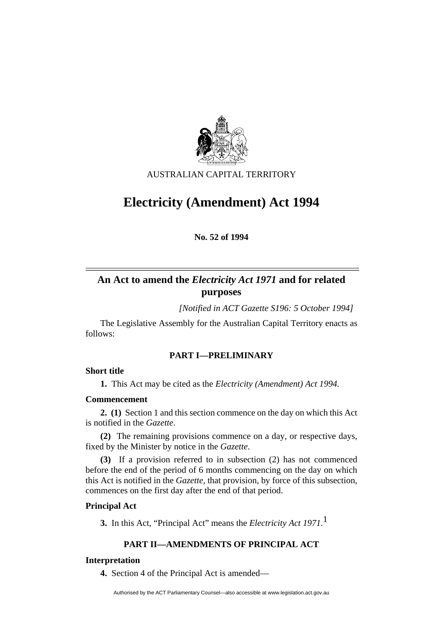

AUSTRALIAN CAPITAL TERRITORY

# **Electricity (Amendment) Act 1994**

**No. 52 of 1994** 

# **An Act to amend the** *Electricity Act 1971* **and for related purposes**

*[Notified in ACT Gazette S196: 5 October 1994]*

 The Legislative Assembly for the Australian Capital Territory enacts as follows:

# **PART I—PRELIMINARY**

# **Short title**

**1.** This Act may be cited as the *Electricity (Amendment) Act 1994.*

# **Commencement**

**2. (1)** Section 1 and this section commence on the day on which this Act is notified in the *Gazette*.

**(2)** The remaining provisions commence on a day, or respective days, fixed by the Minister by notice in the *Gazette*.

**(3)** If a provision referred to in subsection (2) has not commenced before the end of the period of 6 months commencing on the day on which this Act is notified in the *Gazette*, that provision, by force of this subsection, commences on the first day after the end of that period.

# **Principal Act**

**3.** In this Act, "Principal Act" means the *Electricity Act 1971*. 1

# **PART II—AMENDMENTS OF PRINCIPAL ACT**

# **Interpretation**

**4.** Section 4 of the Principal Act is amended—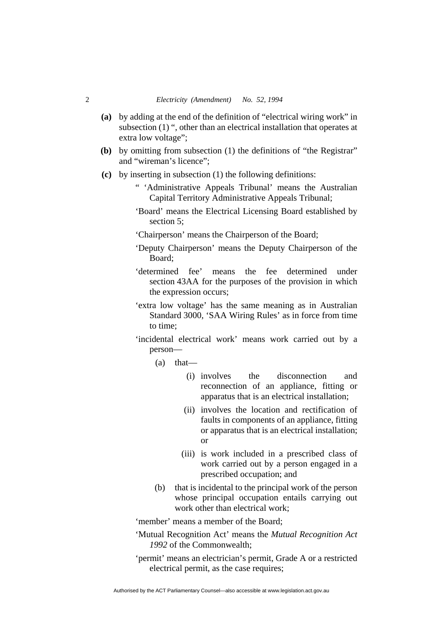- **(a)** by adding at the end of the definition of "electrical wiring work" in subsection (1) ", other than an electrical installation that operates at extra low voltage";
- **(b)** by omitting from subsection (1) the definitions of "the Registrar" and "wireman's licence";
- **(c)** by inserting in subsection (1) the following definitions:
	- " 'Administrative Appeals Tribunal' means the Australian Capital Territory Administrative Appeals Tribunal;
	- 'Board' means the Electrical Licensing Board established by section 5;
	- 'Chairperson' means the Chairperson of the Board;
	- 'Deputy Chairperson' means the Deputy Chairperson of the Board;
	- 'determined fee' means the fee determined under section 43AA for the purposes of the provision in which the expression occurs;
	- 'extra low voltage' has the same meaning as in Australian Standard 3000, 'SAA Wiring Rules' as in force from time to time;
	- 'incidental electrical work' means work carried out by a person—
		- $(a)$  that—
			- (i) involves the disconnection and reconnection of an appliance, fitting or apparatus that is an electrical installation;
			- (ii) involves the location and rectification of faults in components of an appliance, fitting or apparatus that is an electrical installation; or
			- (iii) is work included in a prescribed class of work carried out by a person engaged in a prescribed occupation; and
		- (b) that is incidental to the principal work of the person whose principal occupation entails carrying out work other than electrical work;

'member' means a member of the Board;

- 'Mutual Recognition Act' means the *Mutual Recognition Act 1992* of the Commonwealth;
- 'permit' means an electrician's permit, Grade A or a restricted electrical permit, as the case requires;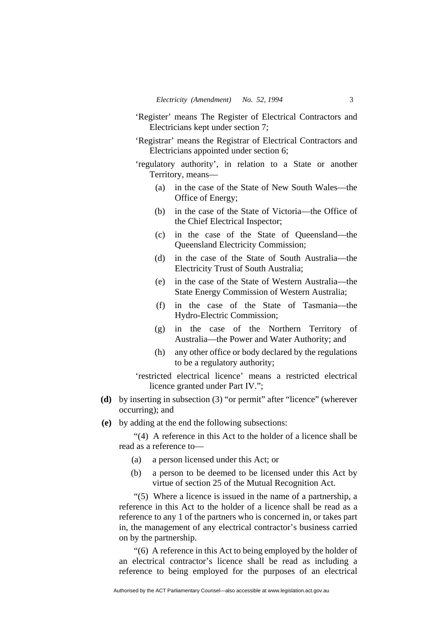- 'Register' means The Register of Electrical Contractors and Electricians kept under section 7;
- 'Registrar' means the Registrar of Electrical Contractors and Electricians appointed under section 6;
- 'regulatory authority', in relation to a State or another Territory, means—
	- (a) in the case of the State of New South Wales—the Office of Energy;
	- (b) in the case of the State of Victoria—the Office of the Chief Electrical Inspector;
	- (c) in the case of the State of Queensland—the Queensland Electricity Commission;
	- (d) in the case of the State of South Australia—the Electricity Trust of South Australia;
	- (e) in the case of the State of Western Australia—the State Energy Commission of Western Australia;
	- (f) in the case of the State of Tasmania—the Hydro-Electric Commission;
	- (g) in the case of the Northern Territory of Australia—the Power and Water Authority; and
	- (h) any other office or body declared by the regulations to be a regulatory authority;

'restricted electrical licence' means a restricted electrical licence granted under Part IV.";

- **(d)** by inserting in subsection (3) "or permit" after "licence" (wherever occurring); and
- **(e)** by adding at the end the following subsections:

"(4) A reference in this Act to the holder of a licence shall be read as a reference to—

- (a) a person licensed under this Act; or
- (b) a person to be deemed to be licensed under this Act by virtue of section 25 of the Mutual Recognition Act.

"(5) Where a licence is issued in the name of a partnership, a reference in this Act to the holder of a licence shall be read as a reference to any 1 of the partners who is concerned in, or takes part in, the management of any electrical contractor's business carried on by the partnership.

"(6) A reference in this Act to being employed by the holder of an electrical contractor's licence shall be read as including a reference to being employed for the purposes of an electrical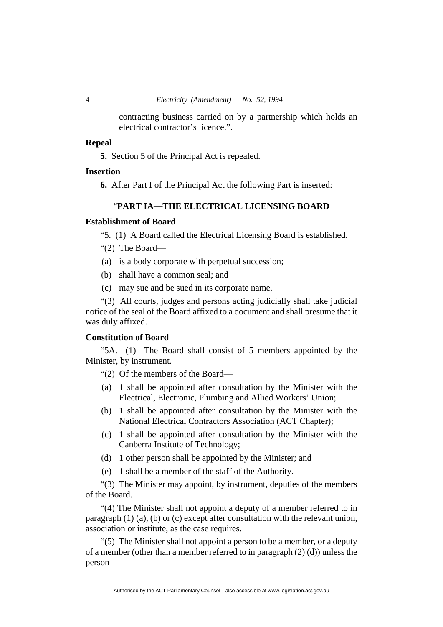contracting business carried on by a partnership which holds an electrical contractor's licence.".

# **Repeal**

**5.** Section 5 of the Principal Act is repealed.

# **Insertion**

**6.** After Part I of the Principal Act the following Part is inserted:

# "**PART IA—THE ELECTRICAL LICENSING BOARD**

# **Establishment of Board**

"5. (1) A Board called the Electrical Licensing Board is established.

- "(2) The Board—
- (a) is a body corporate with perpetual succession;
- (b) shall have a common seal; and
- (c) may sue and be sued in its corporate name.

"(3) All courts, judges and persons acting judicially shall take judicial notice of the seal of the Board affixed to a document and shall presume that it was duly affixed.

#### **Constitution of Board**

"5A. (1) The Board shall consist of 5 members appointed by the Minister, by instrument.

"(2) Of the members of the Board—

- (a) 1 shall be appointed after consultation by the Minister with the Electrical, Electronic, Plumbing and Allied Workers' Union;
- (b) 1 shall be appointed after consultation by the Minister with the National Electrical Contractors Association (ACT Chapter);
- (c) 1 shall be appointed after consultation by the Minister with the Canberra Institute of Technology;
- (d) 1 other person shall be appointed by the Minister; and
- (e) 1 shall be a member of the staff of the Authority.

"(3) The Minister may appoint, by instrument, deputies of the members of the Board.

"(4) The Minister shall not appoint a deputy of a member referred to in paragraph (1) (a), (b) or (c) except after consultation with the relevant union, association or institute, as the case requires.

"(5) The Minister shall not appoint a person to be a member, or a deputy of a member (other than a member referred to in paragraph (2) (d)) unless the person—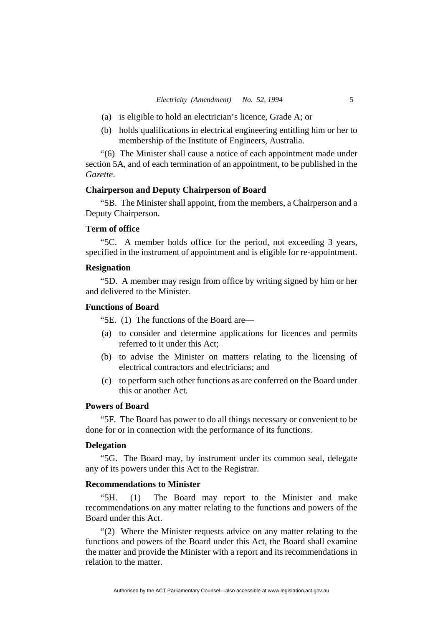- (a) is eligible to hold an electrician's licence, Grade A; or
- (b) holds qualifications in electrical engineering entitling him or her to membership of the Institute of Engineers, Australia.

"(6)The Minister shall cause a notice of each appointment made under section 5A, and of each termination of an appointment, to be published in the *Gazette*.

# **Chairperson and Deputy Chairperson of Board**

"5B. The Minister shall appoint, from the members, a Chairperson and a Deputy Chairperson.

# **Term of office**

"5C. A member holds office for the period, not exceeding 3 years, specified in the instrument of appointment and is eligible for re-appointment.

# **Resignation**

"5D. A member may resign from office by writing signed by him or her and delivered to the Minister.

#### **Functions of Board**

"5E. (1) The functions of the Board are—

- (a) to consider and determine applications for licences and permits referred to it under this Act;
- (b) to advise the Minister on matters relating to the licensing of electrical contractors and electricians; and
- (c) to perform such other functions as are conferred on the Board under this or another Act.

# **Powers of Board**

"5F. The Board has power to do all things necessary or convenient to be done for or in connection with the performance of its functions.

#### **Delegation**

"5G. The Board may, by instrument under its common seal, delegate any of its powers under this Act to the Registrar.

#### **Recommendations to Minister**

"5H. (1) The Board may report to the Minister and make recommendations on any matter relating to the functions and powers of the Board under this Act.

"(2) Where the Minister requests advice on any matter relating to the functions and powers of the Board under this Act, the Board shall examine the matter and provide the Minister with a report and its recommendations in relation to the matter.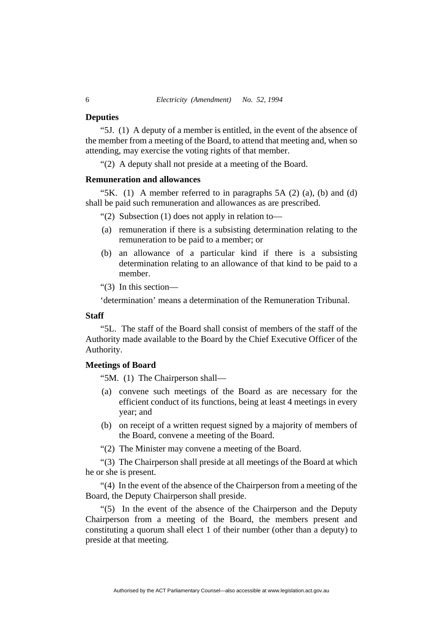#### **Deputies**

"5J. (1) A deputy of a member is entitled, in the event of the absence of the member from a meeting of the Board, to attend that meeting and, when so attending, may exercise the voting rights of that member.

"(2) A deputy shall not preside at a meeting of the Board.

#### **Remuneration and allowances**

"5K.  $(1)$  A member referred to in paragraphs 5A  $(2)$   $(a)$ ,  $(b)$  and  $(d)$ shall be paid such remuneration and allowances as are prescribed.

"(2)Subsection (1) does not apply in relation to—

- (a) remuneration if there is a subsisting determination relating to the remuneration to be paid to a member; or
- (b) an allowance of a particular kind if there is a subsisting determination relating to an allowance of that kind to be paid to a member.

"(3) In this section—

'determination' means a determination of the Remuneration Tribunal.

# **Staff**

"5L. The staff of the Board shall consist of members of the staff of the Authority made available to the Board by the Chief Executive Officer of the Authority.

# **Meetings of Board**

"5M. (1) The Chairperson shall—

- (a) convene such meetings of the Board as are necessary for the efficient conduct of its functions, being at least 4 meetings in every year; and
- (b) on receipt of a written request signed by a majority of members of the Board, convene a meeting of the Board.

"(2) The Minister may convene a meeting of the Board.

"(3) The Chairperson shall preside at all meetings of the Board at which he or she is present.

"(4) In the event of the absence of the Chairperson from a meeting of the Board, the Deputy Chairperson shall preside.

"(5) In the event of the absence of the Chairperson and the Deputy Chairperson from a meeting of the Board, the members present and constituting a quorum shall elect 1 of their number (other than a deputy) to preside at that meeting.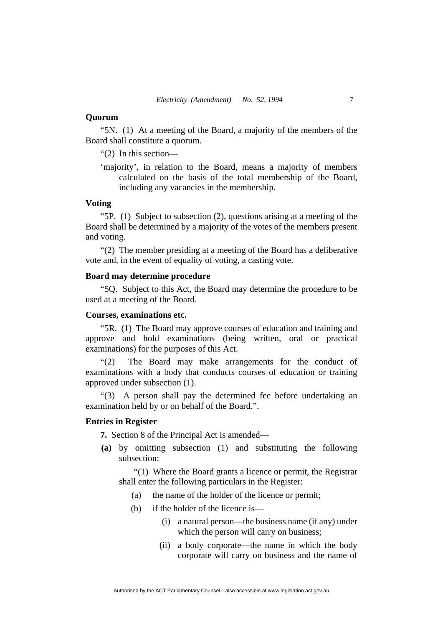#### **Quorum**

"5N. (1) At a meeting of the Board, a majority of the members of the Board shall constitute a quorum.

"(2) In this section—

'majority', in relation to the Board, means a majority of members calculated on the basis of the total membership of the Board, including any vacancies in the membership.

# **Voting**

"5P. (1) Subject to subsection (2), questions arising at a meeting of the Board shall be determined by a majority of the votes of the members present and voting.

"(2) The member presiding at a meeting of the Board has a deliberative vote and, in the event of equality of voting, a casting vote.

# **Board may determine procedure**

"5Q. Subject to this Act, the Board may determine the procedure to be used at a meeting of the Board.

# **Courses, examinations etc.**

"5R. (1) The Board may approve courses of education and training and approve and hold examinations (being written, oral or practical examinations) for the purposes of this Act.

"(2) The Board may make arrangements for the conduct of examinations with a body that conducts courses of education or training approved under subsection (1).

"(3) A person shall pay the determined fee before undertaking an examination held by or on behalf of the Board.".

# **Entries in Register**

**7.** Section 8 of the Principal Act is amended—

**(a)** by omitting subsection (1) and substituting the following subsection:

"(1) Where the Board grants a licence or permit, the Registrar shall enter the following particulars in the Register:

- (a) the name of the holder of the licence or permit;
- (b) if the holder of the licence is—
	- (i) a natural person—the business name (if any) under which the person will carry on business;
	- (ii) a body corporate—the name in which the body corporate will carry on business and the name of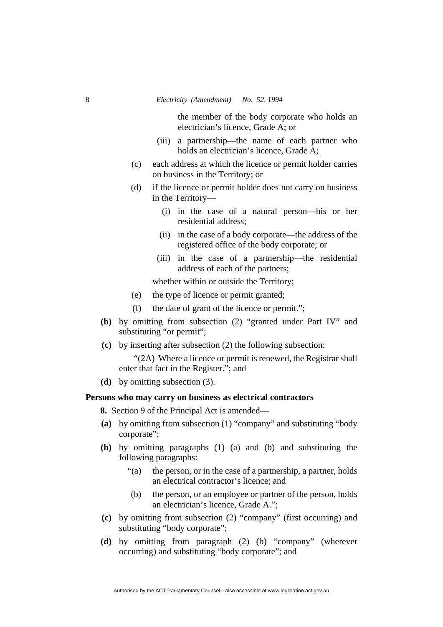the member of the body corporate who holds an electrician's licence, Grade A; or

- (iii) a partnership—the name of each partner who holds an electrician's licence, Grade A;
- (c) each address at which the licence or permit holder carries on business in the Territory; or
- (d) if the licence or permit holder does not carry on business in the Territory—
	- (i) in the case of a natural person—his or her residential address;
	- (ii) in the case of a body corporate—the address of the registered office of the body corporate; or
	- (iii) in the case of a partnership—the residential address of each of the partners;

whether within or outside the Territory;

- (e) the type of licence or permit granted;
- (f) the date of grant of the licence or permit.";
- **(b)** by omitting from subsection (2) "granted under Part IV" and substituting "or permit":
- **(c)** by inserting after subsection (2) the following subsection:

"(2A) Where a licence or permit is renewed, the Registrar shall enter that fact in the Register."; and

**(d)** by omitting subsection (3).

#### **Persons who may carry on business as electrical contractors**

**8.** Section 9 of the Principal Act is amended—

- **(a)** by omitting from subsection (1) "company" and substituting "body corporate";
- **(b)** by omitting paragraphs (1) (a) and (b) and substituting the following paragraphs:
	- "(a) the person, or in the case of a partnership, a partner, holds an electrical contractor's licence; and
	- (b) the person, or an employee or partner of the person, holds an electrician's licence, Grade A.";
- **(c)** by omitting from subsection (2) "company" (first occurring) and substituting "body corporate";
- **(d)** by omitting from paragraph (2) (b) "company" (wherever occurring) and substituting "body corporate"; and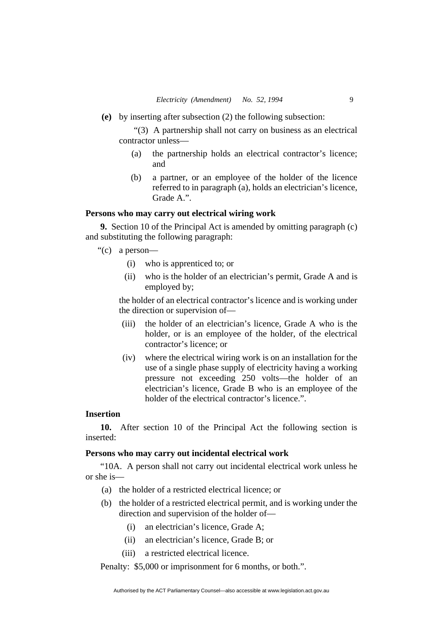**(e)** by inserting after subsection (2) the following subsection:

"(3) A partnership shall not carry on business as an electrical contractor unless—

- (a) the partnership holds an electrical contractor's licence; and
- (b) a partner, or an employee of the holder of the licence referred to in paragraph (a), holds an electrician's licence, Grade A.".

# **Persons who may carry out electrical wiring work**

**9.** Section 10 of the Principal Act is amended by omitting paragraph (c) and substituting the following paragraph:

"(c) a person—

- (i) who is apprenticed to; or
- (ii) who is the holder of an electrician's permit, Grade A and is employed by;

the holder of an electrical contractor's licence and is working under the direction or supervision of—

- (iii) the holder of an electrician's licence, Grade A who is the holder, or is an employee of the holder, of the electrical contractor's licence; or
- (iv) where the electrical wiring work is on an installation for the use of a single phase supply of electricity having a working pressure not exceeding 250 volts—the holder of an electrician's licence, Grade B who is an employee of the holder of the electrical contractor's licence.".

# **Insertion**

**10.** After section 10 of the Principal Act the following section is inserted:

# **Persons who may carry out incidental electrical work**

"10A. A person shall not carry out incidental electrical work unless he or she is—

- (a) the holder of a restricted electrical licence; or
- (b) the holder of a restricted electrical permit, and is working under the direction and supervision of the holder of—
	- (i) an electrician's licence, Grade A;
	- (ii) an electrician's licence, Grade B; or
	- (iii) a restricted electrical licence.

Penalty: \$5,000 or imprisonment for 6 months, or both.".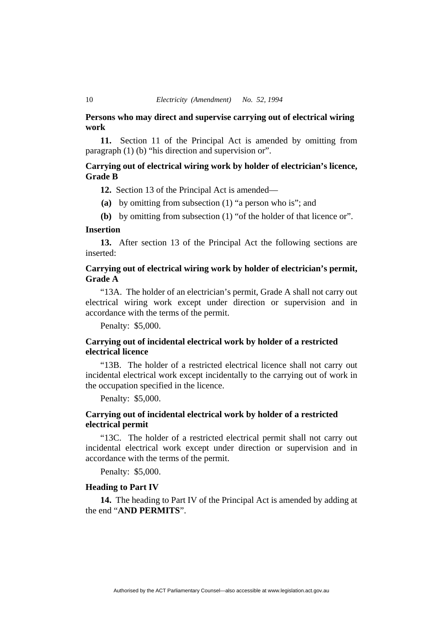# **Persons who may direct and supervise carrying out of electrical wiring work**

**11.** Section 11 of the Principal Act is amended by omitting from paragraph (1) (b) "his direction and supervision or".

# **Carrying out of electrical wiring work by holder of electrician's licence, Grade B**

**12.** Section 13 of the Principal Act is amended—

- **(a)** by omitting from subsection (1) "a person who is"; and
- **(b)** by omitting from subsection (1) "of the holder of that licence or".

#### **Insertion**

**13.** After section 13 of the Principal Act the following sections are inserted:

# **Carrying out of electrical wiring work by holder of electrician's permit, Grade A**

"13A. The holder of an electrician's permit, Grade A shall not carry out electrical wiring work except under direction or supervision and in accordance with the terms of the permit.

Penalty: \$5,000.

# **Carrying out of incidental electrical work by holder of a restricted electrical licence**

"13B. The holder of a restricted electrical licence shall not carry out incidental electrical work except incidentally to the carrying out of work in the occupation specified in the licence.

Penalty: \$5,000.

# **Carrying out of incidental electrical work by holder of a restricted electrical permit**

"13C. The holder of a restricted electrical permit shall not carry out incidental electrical work except under direction or supervision and in accordance with the terms of the permit.

Penalty: \$5,000.

#### **Heading to Part IV**

**14.** The heading to Part IV of the Principal Act is amended by adding at the end "**AND PERMITS**".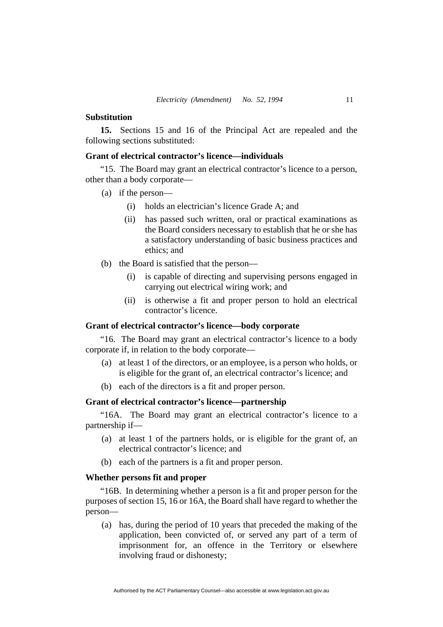#### **Substitution**

**15.** Sections 15 and 16 of the Principal Act are repealed and the following sections substituted:

# **Grant of electrical contractor's licence—individuals**

"15. The Board may grant an electrical contractor's licence to a person, other than a body corporate—

- (a) if the person—
	- (i) holds an electrician's licence Grade A; and
	- (ii) has passed such written, oral or practical examinations as the Board considers necessary to establish that he or she has a satisfactory understanding of basic business practices and ethics; and
- (b) the Board is satisfied that the person—
	- (i) is capable of directing and supervising persons engaged in carrying out electrical wiring work; and
	- (ii) is otherwise a fit and proper person to hold an electrical contractor's licence.

# **Grant of electrical contractor's licence—body corporate**

"16. The Board may grant an electrical contractor's licence to a body corporate if, in relation to the body corporate—

- (a) at least 1 of the directors, or an employee, is a person who holds, or is eligible for the grant of, an electrical contractor's licence; and
- (b) each of the directors is a fit and proper person.

# **Grant of electrical contractor's licence—partnership**

"16A. The Board may grant an electrical contractor's licence to a partnership if—

- (a) at least 1 of the partners holds, or is eligible for the grant of, an electrical contractor's licence; and
- (b) each of the partners is a fit and proper person.

# **Whether persons fit and proper**

"16B. In determining whether a person is a fit and proper person for the purposes of section 15, 16 or 16A, the Board shall have regard to whether the person—

 (a) has, during the period of 10 years that preceded the making of the application, been convicted of, or served any part of a term of imprisonment for, an offence in the Territory or elsewhere involving fraud or dishonesty;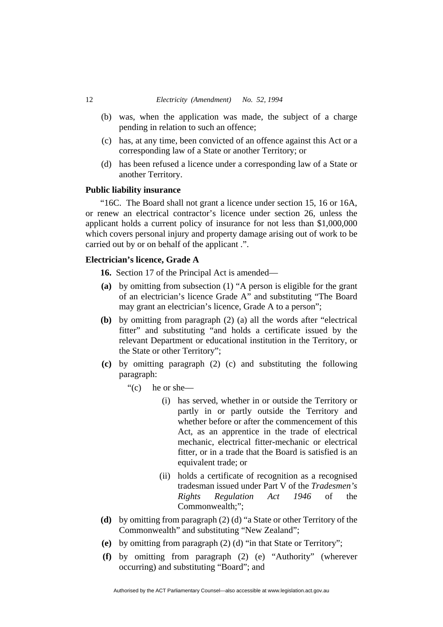- (b) was, when the application was made, the subject of a charge pending in relation to such an offence;
- (c) has, at any time, been convicted of an offence against this Act or a corresponding law of a State or another Territory; or
- (d) has been refused a licence under a corresponding law of a State or another Territory.

#### **Public liability insurance**

"16C. The Board shall not grant a licence under section 15, 16 or 16A, or renew an electrical contractor's licence under section 26, unless the applicant holds a current policy of insurance for not less than \$1,000,000 which covers personal injury and property damage arising out of work to be carried out by or on behalf of the applicant .".

# **Electrician's licence, Grade A**

**16.** Section 17 of the Principal Act is amended—

- **(a)** by omitting from subsection (1) "A person is eligible for the grant of an electrician's licence Grade A" and substituting "The Board may grant an electrician's licence, Grade A to a person";
- **(b)** by omitting from paragraph (2) (a) all the words after "electrical fitter" and substituting "and holds a certificate issued by the relevant Department or educational institution in the Territory, or the State or other Territory";
- **(c)** by omitting paragraph (2) (c) and substituting the following paragraph:
	- "(c) he or she—
		- (i) has served, whether in or outside the Territory or partly in or partly outside the Territory and whether before or after the commencement of this Act, as an apprentice in the trade of electrical mechanic, electrical fitter-mechanic or electrical fitter, or in a trade that the Board is satisfied is an equivalent trade; or
		- (ii) holds a certificate of recognition as a recognised tradesman issued under Part V of the *Tradesmen's Rights Regulation Act 1946* of the Commonwealth;";
- **(d)** by omitting from paragraph (2) (d) "a State or other Territory of the Commonwealth" and substituting "New Zealand";
- **(e)** by omitting from paragraph (2) (d) "in that State or Territory";
- **(f)** by omitting from paragraph (2) (e) "Authority" (wherever occurring) and substituting "Board"; and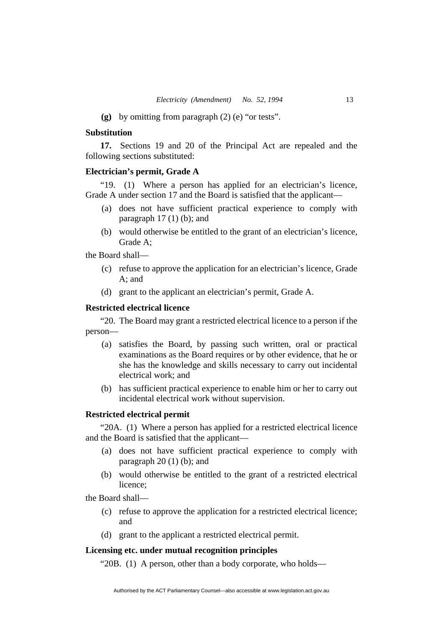**(g)** by omitting from paragraph (2) (e) "or tests".

# **Substitution**

**17.** Sections 19 and 20 of the Principal Act are repealed and the following sections substituted:

# **Electrician's permit, Grade A**

"19. (1) Where a person has applied for an electrician's licence, Grade A under section 17 and the Board is satisfied that the applicant—

- (a) does not have sufficient practical experience to comply with paragraph  $17(1)$  (b); and
- (b) would otherwise be entitled to the grant of an electrician's licence, Grade A;

the Board shall—

- (c) refuse to approve the application for an electrician's licence, Grade A; and
- (d) grant to the applicant an electrician's permit, Grade A.

### **Restricted electrical licence**

"20. The Board may grant a restricted electrical licence to a person if the person—

- (a) satisfies the Board, by passing such written, oral or practical examinations as the Board requires or by other evidence, that he or she has the knowledge and skills necessary to carry out incidental electrical work; and
- (b) has sufficient practical experience to enable him or her to carry out incidental electrical work without supervision.

# **Restricted electrical permit**

"20A. (1) Where a person has applied for a restricted electrical licence and the Board is satisfied that the applicant—

- (a) does not have sufficient practical experience to comply with paragraph  $20(1)(b)$ ; and
- (b) would otherwise be entitled to the grant of a restricted electrical licence;

the Board shall—

- (c) refuse to approve the application for a restricted electrical licence; and
- (d) grant to the applicant a restricted electrical permit.

# **Licensing etc. under mutual recognition principles**

"20B. (1) A person, other than a body corporate, who holds—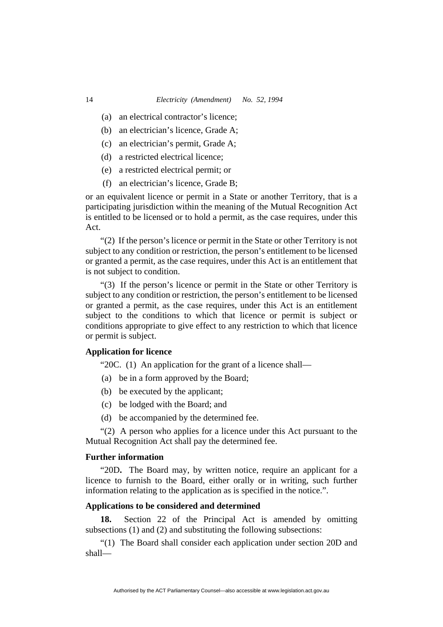- (a) an electrical contractor's licence;
- (b) an electrician's licence, Grade A;
- (c) an electrician's permit, Grade A;
- (d) a restricted electrical licence;
- (e) a restricted electrical permit; or
- (f) an electrician's licence, Grade B;

or an equivalent licence or permit in a State or another Territory, that is a participating jurisdiction within the meaning of the Mutual Recognition Act is entitled to be licensed or to hold a permit, as the case requires, under this Act.

"(2) If the person's licence or permit in the State or other Territory is not subject to any condition or restriction, the person's entitlement to be licensed or granted a permit, as the case requires, under this Act is an entitlement that is not subject to condition.

"(3) If the person's licence or permit in the State or other Territory is subject to any condition or restriction, the person's entitlement to be licensed or granted a permit, as the case requires, under this Act is an entitlement subject to the conditions to which that licence or permit is subject or conditions appropriate to give effect to any restriction to which that licence or permit is subject.

# **Application for licence**

"20C. (1) An application for the grant of a licence shall—

- (a) be in a form approved by the Board;
- (b) be executed by the applicant;
- (c) be lodged with the Board; and
- (d) be accompanied by the determined fee.

"(2) A person who applies for a licence under this Act pursuant to the Mutual Recognition Act shall pay the determined fee.

#### **Further information**

"20D**.** The Board may, by written notice, require an applicant for a licence to furnish to the Board, either orally or in writing, such further information relating to the application as is specified in the notice.".

# **Applications to be considered and determined**

**18.** Section 22 of the Principal Act is amended by omitting subsections (1) and (2) and substituting the following subsections:

"(1) The Board shall consider each application under section 20D and shall—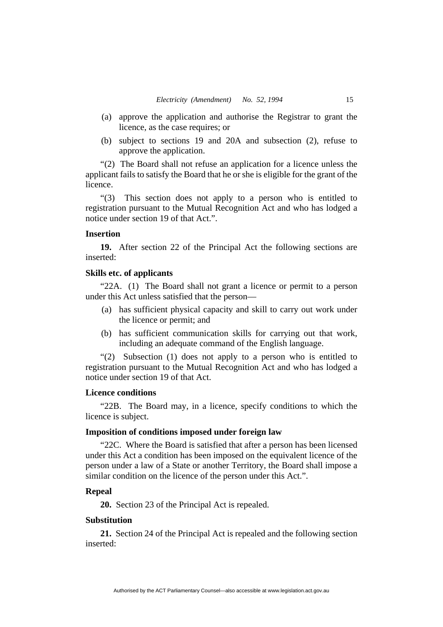- (a) approve the application and authorise the Registrar to grant the licence, as the case requires; or
- (b) subject to sections 19 and 20A and subsection (2), refuse to approve the application.

"(2) The Board shall not refuse an application for a licence unless the applicant fails to satisfy the Board that he or she is eligible for the grant of the licence.

"(3) This section does not apply to a person who is entitled to registration pursuant to the Mutual Recognition Act and who has lodged a notice under section 19 of that Act.".

#### **Insertion**

**19.** After section 22 of the Principal Act the following sections are inserted:

# **Skills etc. of applicants**

"22A. (1) The Board shall not grant a licence or permit to a person under this Act unless satisfied that the person—

- (a) has sufficient physical capacity and skill to carry out work under the licence or permit; and
- (b) has sufficient communication skills for carrying out that work, including an adequate command of the English language.

"(2) Subsection (1) does not apply to a person who is entitled to registration pursuant to the Mutual Recognition Act and who has lodged a notice under section 19 of that Act.

#### **Licence conditions**

"22B. The Board may, in a licence, specify conditions to which the licence is subject.

#### **Imposition of conditions imposed under foreign law**

"22C. Where the Board is satisfied that after a person has been licensed under this Act a condition has been imposed on the equivalent licence of the person under a law of a State or another Territory, the Board shall impose a similar condition on the licence of the person under this Act.".

#### **Repeal**

**20.** Section 23 of the Principal Act is repealed.

#### **Substitution**

**21.** Section 24 of the Principal Act is repealed and the following section inserted: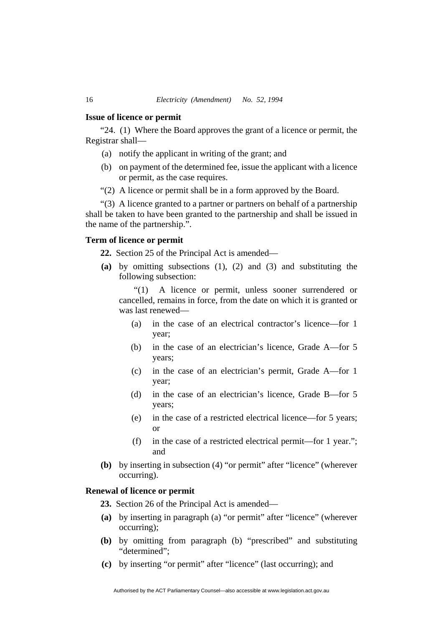#### **Issue of licence or permit**

"24. (1) Where the Board approves the grant of a licence or permit, the Registrar shall—

- (a) notify the applicant in writing of the grant; and
- (b) on payment of the determined fee, issue the applicant with a licence or permit, as the case requires.
- "(2) A licence or permit shall be in a form approved by the Board.

"(3) A licence granted to a partner or partners on behalf of a partnership shall be taken to have been granted to the partnership and shall be issued in the name of the partnership.".

# **Term of licence or permit**

**22.** Section 25 of the Principal Act is amended—

**(a)** by omitting subsections (1), (2) and (3) and substituting the following subsection:

"(1) A licence or permit, unless sooner surrendered or cancelled, remains in force, from the date on which it is granted or was last renewed—

- (a) in the case of an electrical contractor's licence—for 1 year;
- (b) in the case of an electrician's licence, Grade A—for 5 years;
- (c) in the case of an electrician's permit, Grade A—for 1 year;
- (d) in the case of an electrician's licence, Grade B—for 5 years;
- (e) in the case of a restricted electrical licence—for 5 years; or
- (f) in the case of a restricted electrical permit—for 1 year."; and
- **(b)** by inserting in subsection (4) "or permit" after "licence" (wherever occurring).

#### **Renewal of licence or permit**

**23.** Section 26 of the Principal Act is amended—

- **(a)** by inserting in paragraph (a) "or permit" after "licence" (wherever occurring);
- **(b)** by omitting from paragraph (b) "prescribed" and substituting "determined";
- **(c)** by inserting "or permit" after "licence" (last occurring); and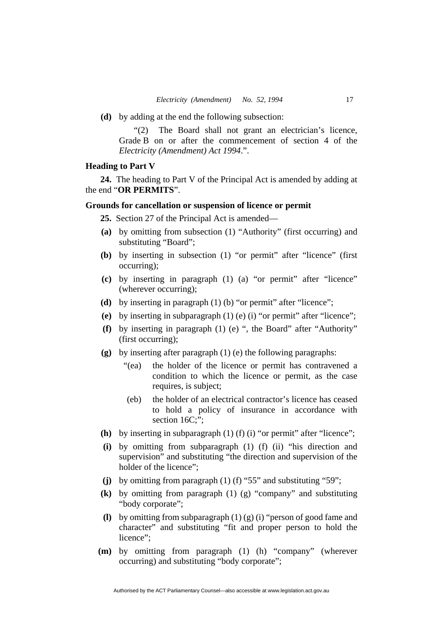**(d)** by adding at the end the following subsection:

"(2) The Board shall not grant an electrician's licence, Grade B on or after the commencement of section 4 of the *Electricity (Amendment) Act 1994*.".

#### **Heading to Part V**

**24.** The heading to Part V of the Principal Act is amended by adding at the end "**OR PERMITS**".

#### **Grounds for cancellation or suspension of licence or permit**

**25.** Section 27 of the Principal Act is amended—

- **(a)** by omitting from subsection (1) "Authority" (first occurring) and substituting "Board";
- **(b)** by inserting in subsection (1) "or permit" after "licence" (first occurring);
- **(c)** by inserting in paragraph (1) (a) "or permit" after "licence" (wherever occurring);
- **(d)** by inserting in paragraph (1) (b) "or permit" after "licence";
- **(e)** by inserting in subparagraph (1) (e) (i) "or permit" after "licence";
- **(f)** by inserting in paragraph (1) (e) ", the Board" after "Authority" (first occurring);
- **(g)** by inserting after paragraph (1) (e) the following paragraphs:
	- "(ea) the holder of the licence or permit has contravened a condition to which the licence or permit, as the case requires, is subject;
	- (eb) the holder of an electrical contractor's licence has ceased to hold a policy of insurance in accordance with section 16C:":
- **(h)** by inserting in subparagraph (1) (f) (i) "or permit" after "licence";
- **(i)** by omitting from subparagraph (1) (f) (ii) "his direction and supervision" and substituting "the direction and supervision of the holder of the licence";
- **(j)** by omitting from paragraph (1) (f) "55" and substituting "59";
- **(k)** by omitting from paragraph (1) (g) "company" and substituting "body corporate";
- **(l)** by omitting from subparagraph (1) (g) (i) "person of good fame and character" and substituting "fit and proper person to hold the licence":
- **(m)** by omitting from paragraph (1) (h) "company" (wherever occurring) and substituting "body corporate";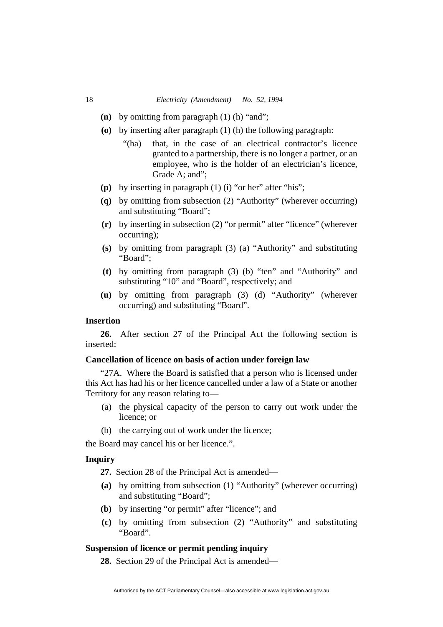- **(n)** by omitting from paragraph (1) (h) "and";
- **(o)** by inserting after paragraph (1) (h) the following paragraph:
	- "(ha) that, in the case of an electrical contractor's licence granted to a partnership, there is no longer a partner, or an employee, who is the holder of an electrician's licence, Grade A; and";
- **(p)** by inserting in paragraph (1) (i) "or her" after "his";
- **(q)** by omitting from subsection (2) "Authority" (wherever occurring) and substituting "Board";
- **(r)** by inserting in subsection (2) "or permit" after "licence" (wherever occurring);
- **(s)** by omitting from paragraph (3) (a) "Authority" and substituting "Board";
- **(t)** by omitting from paragraph (3) (b) "ten" and "Authority" and substituting "10" and "Board", respectively; and
- **(u)** by omitting from paragraph (3) (d) "Authority" (wherever occurring) and substituting "Board".

# **Insertion**

**26.** After section 27 of the Principal Act the following section is inserted:

## **Cancellation of licence on basis of action under foreign law**

"27A. Where the Board is satisfied that a person who is licensed under this Act has had his or her licence cancelled under a law of a State or another Territory for any reason relating to—

- (a) the physical capacity of the person to carry out work under the licence; or
- (b) the carrying out of work under the licence;

the Board may cancel his or her licence.".

# **Inquiry**

**27.** Section 28 of the Principal Act is amended—

- **(a)** by omitting from subsection (1) "Authority" (wherever occurring) and substituting "Board";
- **(b)** by inserting "or permit" after "licence"; and
- **(c)** by omitting from subsection (2) "Authority" and substituting "Board".

#### **Suspension of licence or permit pending inquiry**

**28.** Section 29 of the Principal Act is amended—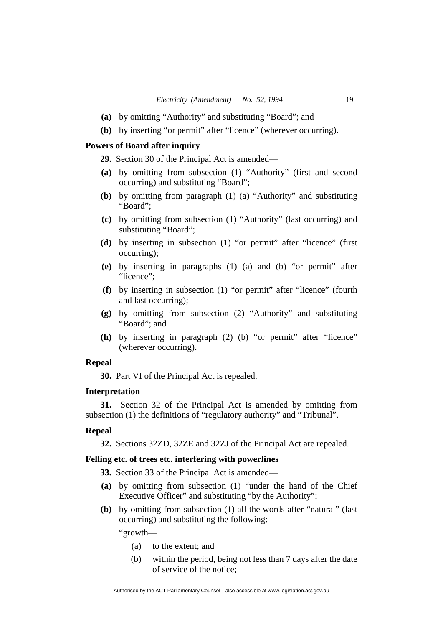- **(a)** by omitting "Authority" and substituting "Board"; and
- **(b)** by inserting "or permit" after "licence" (wherever occurring).

# **Powers of Board after inquiry**

**29.** Section 30 of the Principal Act is amended—

- **(a)** by omitting from subsection (1) "Authority" (first and second occurring) and substituting "Board";
- **(b)** by omitting from paragraph (1) (a) "Authority" and substituting "Board";
- **(c)** by omitting from subsection (1) "Authority" (last occurring) and substituting "Board";
- **(d)** by inserting in subsection (1) "or permit" after "licence" (first occurring);
- **(e)** by inserting in paragraphs (1) (a) and (b) "or permit" after "licence":
- **(f)** by inserting in subsection (1) "or permit" after "licence" (fourth and last occurring);
- **(g)** by omitting from subsection (2) "Authority" and substituting "Board"; and
- **(h)** by inserting in paragraph (2) (b) "or permit" after "licence" (wherever occurring).

# **Repeal**

**30.** Part VI of the Principal Act is repealed.

# **Interpretation**

**31.** Section 32 of the Principal Act is amended by omitting from subsection (1) the definitions of "regulatory authority" and "Tribunal".

#### **Repeal**

**32.** Sections 32ZD, 32ZE and 32ZJ of the Principal Act are repealed.

# **Felling etc. of trees etc. interfering with powerlines**

**33.** Section 33 of the Principal Act is amended—

- **(a)** by omitting from subsection (1) "under the hand of the Chief Executive Officer" and substituting "by the Authority";
- **(b)** by omitting from subsection (1) all the words after "natural" (last occurring) and substituting the following:

"growth—

- (a) to the extent; and
- (b) within the period, being not less than 7 days after the date of service of the notice;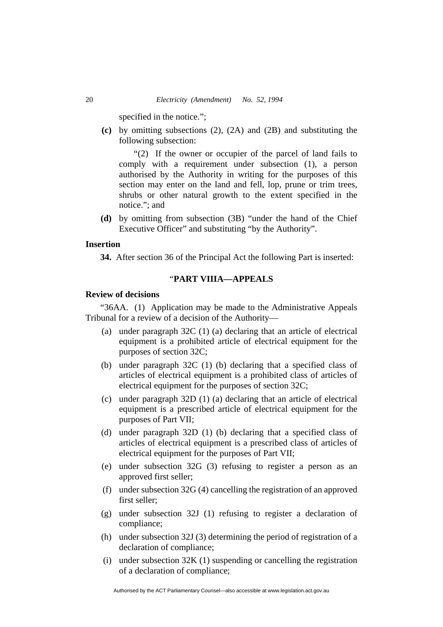specified in the notice.";

**(c)** by omitting subsections (2), (2A) and (2B) and substituting the following subsection:

"(2) If the owner or occupier of the parcel of land fails to comply with a requirement under subsection (1), a person authorised by the Authority in writing for the purposes of this section may enter on the land and fell, lop, prune or trim trees, shrubs or other natural growth to the extent specified in the notice."; and

**(d)** by omitting from subsection (3B) "under the hand of the Chief Executive Officer" and substituting "by the Authority".

# **Insertion**

**34.** After section 36 of the Principal Act the following Part is inserted:

# "**PART VIIIA—APPEALS**

#### **Review of decisions**

"36AA. (1) Application may be made to the Administrative Appeals Tribunal for a review of a decision of the Authority—

- (a) under paragraph 32C (1) (a) declaring that an article of electrical equipment is a prohibited article of electrical equipment for the purposes of section 32C;
- (b) under paragraph 32C (1) (b) declaring that a specified class of articles of electrical equipment is a prohibited class of articles of electrical equipment for the purposes of section 32C;
- (c) under paragraph 32D (1) (a) declaring that an article of electrical equipment is a prescribed article of electrical equipment for the purposes of Part VII;
- (d) under paragraph 32D (1) (b) declaring that a specified class of articles of electrical equipment is a prescribed class of articles of electrical equipment for the purposes of Part VII;
- (e) under subsection 32G (3) refusing to register a person as an approved first seller;
- (f) under subsection 32G (4) cancelling the registration of an approved first seller;
- (g) under subsection 32J (1) refusing to register a declaration of compliance;
- (h) under subsection 32J (3) determining the period of registration of a declaration of compliance;
- (i) under subsection  $32K(1)$  suspending or cancelling the registration of a declaration of compliance;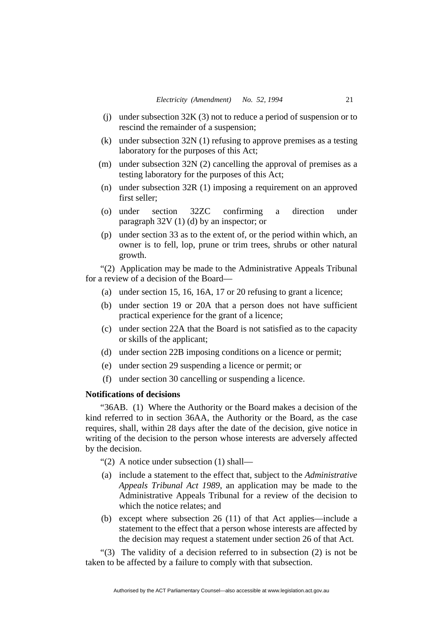- (j) under subsection 32K (3) not to reduce a period of suspension or to rescind the remainder of a suspension;
- (k) under subsection 32N (1) refusing to approve premises as a testing laboratory for the purposes of this Act;
- (m) under subsection 32N (2) cancelling the approval of premises as a testing laboratory for the purposes of this Act;
- (n) under subsection 32R (1) imposing a requirement on an approved first seller;
- (o) under section 32ZC confirming a direction under paragraph 32V (1) (d) by an inspector; or
- (p) under section 33 as to the extent of, or the period within which, an owner is to fell, lop, prune or trim trees, shrubs or other natural growth.

"(2) Application may be made to the Administrative Appeals Tribunal for a review of a decision of the Board—

- (a) under section 15, 16, 16A, 17 or 20 refusing to grant a licence;
- (b) under section 19 or 20A that a person does not have sufficient practical experience for the grant of a licence;
- (c) under section 22A that the Board is not satisfied as to the capacity or skills of the applicant;
- (d) under section 22B imposing conditions on a licence or permit;
- (e) under section 29 suspending a licence or permit; or
- (f) under section 30 cancelling or suspending a licence.

# **Notifications of decisions**

"36AB. (1) Where the Authority or the Board makes a decision of the kind referred to in section 36AA, the Authority or the Board, as the case requires, shall, within 28 days after the date of the decision, give notice in writing of the decision to the person whose interests are adversely affected by the decision.

"(2) A notice under subsection (1) shall—

- (a) include a statement to the effect that, subject to the *Administrative Appeals Tribunal Act 1989*, an application may be made to the Administrative Appeals Tribunal for a review of the decision to which the notice relates: and
- (b) except where subsection 26 (11) of that Act applies—include a statement to the effect that a person whose interests are affected by the decision may request a statement under section 26 of that Act.

"(3) The validity of a decision referred to in subsection (2) is not be taken to be affected by a failure to comply with that subsection.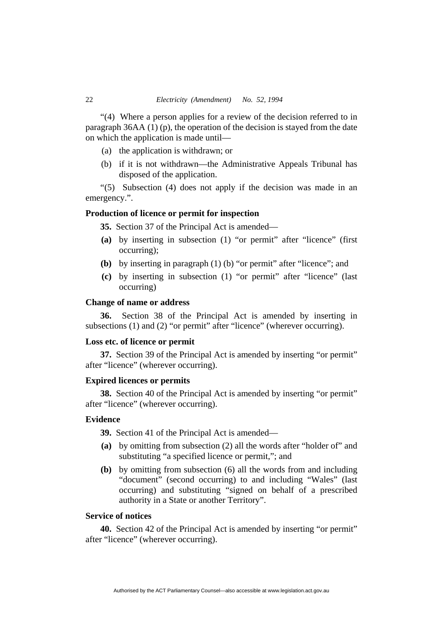"(4) Where a person applies for a review of the decision referred to in paragraph 36AA (1) (p), the operation of the decision is stayed from the date on which the application is made until—

- (a) the application is withdrawn; or
- (b) if it is not withdrawn—the Administrative Appeals Tribunal has disposed of the application.

"(5) Subsection (4) does not apply if the decision was made in an emergency.".

#### **Production of licence or permit for inspection**

**35.** Section 37 of the Principal Act is amended—

- **(a)** by inserting in subsection (1) "or permit" after "licence" (first occurring);
- **(b)** by inserting in paragraph (1) (b) "or permit" after "licence"; and
- **(c)** by inserting in subsection (1) "or permit" after "licence" (last occurring)

#### **Change of name or address**

**36.** Section 38 of the Principal Act is amended by inserting in subsections (1) and (2) "or permit" after "licence" (wherever occurring).

# **Loss etc. of licence or permit**

**37.** Section 39 of the Principal Act is amended by inserting "or permit" after "licence" (wherever occurring).

# **Expired licences or permits**

**38.** Section 40 of the Principal Act is amended by inserting "or permit" after "licence" (wherever occurring).

# **Evidence**

**39.** Section 41 of the Principal Act is amended—

- **(a)** by omitting from subsection (2) all the words after "holder of" and substituting "a specified licence or permit,"; and
- **(b)** by omitting from subsection (6) all the words from and including "document" (second occurring) to and including "Wales" (last occurring) and substituting "signed on behalf of a prescribed authority in a State or another Territory".

#### **Service of notices**

**40.** Section 42 of the Principal Act is amended by inserting "or permit" after "licence" (wherever occurring).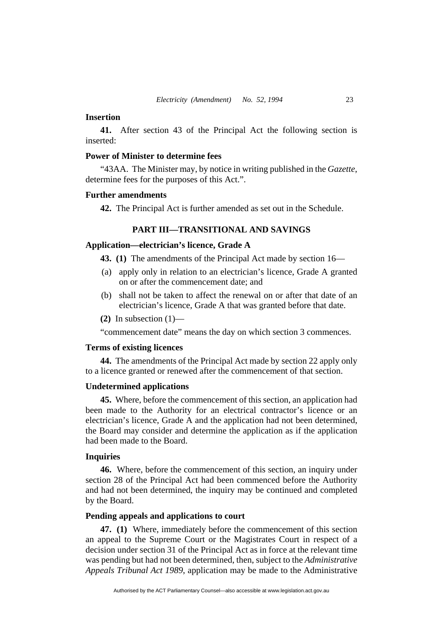#### **Insertion**

**41.** After section 43 of the Principal Act the following section is inserted:

# **Power of Minister to determine fees**

"43AA. The Minister may, by notice in writing published in the *Gazette*, determine fees for the purposes of this Act.".

## **Further amendments**

**42.** The Principal Act is further amended as set out in the Schedule.

# **PART III—TRANSITIONAL AND SAVINGS**

# **Application—electrician's licence, Grade A**

**43. (1)** The amendments of the Principal Act made by section 16—

- (a) apply only in relation to an electrician's licence, Grade A granted on or after the commencement date; and
- (b) shall not be taken to affect the renewal on or after that date of an electrician's licence, Grade A that was granted before that date.
- **(2)** In subsection (1)—

"commencement date" means the day on which section 3 commences.

# **Terms of existing licences**

**44.** The amendments of the Principal Act made by section 22 apply only to a licence granted or renewed after the commencement of that section.

#### **Undetermined applications**

**45.** Where, before the commencement of this section, an application had been made to the Authority for an electrical contractor's licence or an electrician's licence, Grade A and the application had not been determined, the Board may consider and determine the application as if the application had been made to the Board.

# **Inquiries**

**46.** Where, before the commencement of this section, an inquiry under section 28 of the Principal Act had been commenced before the Authority and had not been determined, the inquiry may be continued and completed by the Board.

#### **Pending appeals and applications to court**

**47. (1)** Where, immediately before the commencement of this section an appeal to the Supreme Court or the Magistrates Court in respect of a decision under section 31 of the Principal Act as in force at the relevant time was pending but had not been determined, then, subject to the *Administrative Appeals Tribunal Act 1989*, application may be made to the Administrative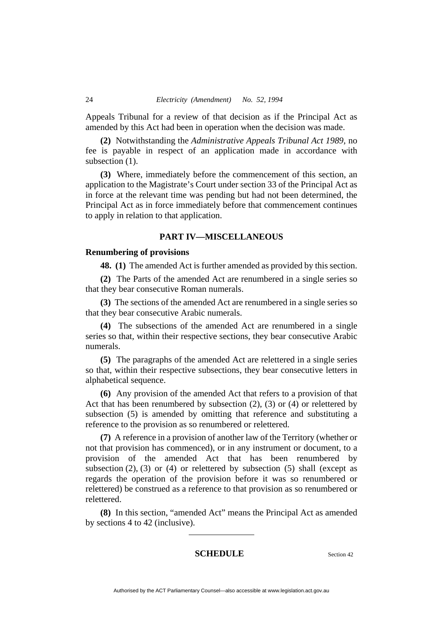Appeals Tribunal for a review of that decision as if the Principal Act as amended by this Act had been in operation when the decision was made.

**(2)** Notwithstanding the *Administrative Appeals Tribunal Act 1989*, no fee is payable in respect of an application made in accordance with subsection  $(1)$ .

**(3)** Where, immediately before the commencement of this section, an application to the Magistrate's Court under section 33 of the Principal Act as in force at the relevant time was pending but had not been determined, the Principal Act as in force immediately before that commencement continues to apply in relation to that application.

# **PART IV—MISCELLANEOUS**

## **Renumbering of provisions**

**48. (1)** The amended Act is further amended as provided by this section.

**(2)** The Parts of the amended Act are renumbered in a single series so that they bear consecutive Roman numerals.

**(3)** The sections of the amended Act are renumbered in a single series so that they bear consecutive Arabic numerals.

**(4)** The subsections of the amended Act are renumbered in a single series so that, within their respective sections, they bear consecutive Arabic numerals.

**(5)** The paragraphs of the amended Act are relettered in a single series so that, within their respective subsections, they bear consecutive letters in alphabetical sequence.

**(6)** Any provision of the amended Act that refers to a provision of that Act that has been renumbered by subsection  $(2)$ ,  $(3)$  or  $(4)$  or relettered by subsection (5) is amended by omitting that reference and substituting a reference to the provision as so renumbered or relettered.

**(7)** A reference in a provision of another law of the Territory (whether or not that provision has commenced), or in any instrument or document, to a provision of the amended Act that has been renumbered by subsection  $(2)$ ,  $(3)$  or  $(4)$  or relettered by subsection  $(5)$  shall (except as regards the operation of the provision before it was so renumbered or relettered) be construed as a reference to that provision as so renumbered or relettered.

**(8)** In this section, "amended Act" means the Principal Act as amended by sections 4 to 42 (inclusive).

# **SCHEDULE** Section 42

Authorised by the ACT Parliamentary Counsel—also accessible at www.legislation.act.gov.au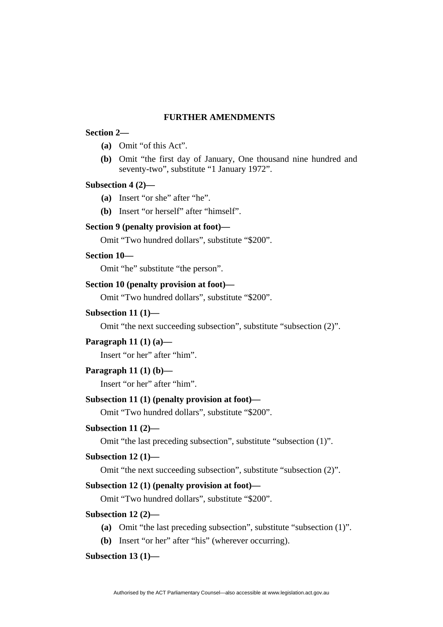#### **FURTHER AMENDMENTS**

#### **Section 2—**

- **(a)** Omit "of this Act".
- **(b)** Omit "the first day of January, One thousand nine hundred and seventy-two", substitute "1 January 1972".

# **Subsection 4 (2)—**

- **(a)** Insert "or she" after "he".
- **(b)** Insert "or herself" after "himself".

# **Section 9 (penalty provision at foot)—**

Omit "Two hundred dollars", substitute "\$200".

#### **Section 10—**

Omit "he" substitute "the person".

# **Section 10 (penalty provision at foot)—**

Omit "Two hundred dollars", substitute "\$200".

# **Subsection 11 (1)—**

Omit "the next succeeding subsection", substitute "subsection (2)".

# **Paragraph 11 (1) (a)—**

Insert "or her" after "him".

# **Paragraph 11 (1) (b)—**

Insert "or her" after "him".

# **Subsection 11 (1) (penalty provision at foot)—**

Omit "Two hundred dollars", substitute "\$200".

# **Subsection 11 (2)—**

Omit "the last preceding subsection", substitute "subsection (1)".

# **Subsection 12 (1)—**

Omit "the next succeeding subsection", substitute "subsection (2)".

# **Subsection 12 (1) (penalty provision at foot)—**

Omit "Two hundred dollars", substitute "\$200".

#### **Subsection 12 (2)—**

- **(a)** Omit "the last preceding subsection", substitute "subsection (1)".
- **(b)** Insert "or her" after "his" (wherever occurring).

# **Subsection 13 (1)—**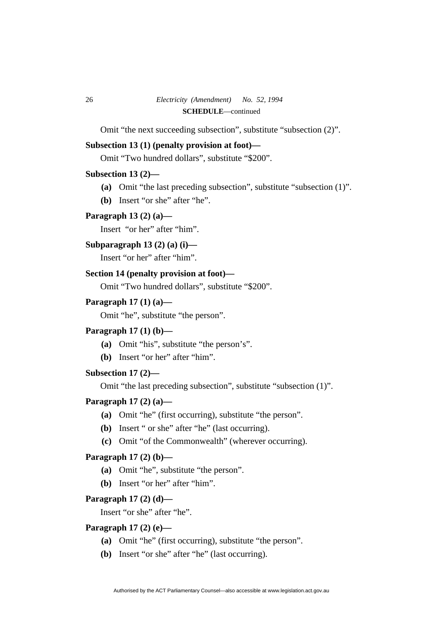Omit "the next succeeding subsection", substitute "subsection (2)".

# **Subsection 13 (1) (penalty provision at foot)—**

Omit "Two hundred dollars", substitute "\$200".

# **Subsection 13 (2)—**

- **(a)** Omit "the last preceding subsection", substitute "subsection (1)".
- **(b)** Insert "or she" after "he".

# **Paragraph 13 (2) (a)—**

Insert "or her" after "him".

## **Subparagraph 13 (2) (a) (i)—**

Insert "or her" after "him".

# **Section 14 (penalty provision at foot)—**

Omit "Two hundred dollars", substitute "\$200".

# **Paragraph 17 (1) (a)—**

Omit "he", substitute "the person".

# **Paragraph 17 (1) (b)—**

- **(a)** Omit "his", substitute "the person's".
- **(b)** Insert "or her" after "him".

# **Subsection 17 (2)—**

Omit "the last preceding subsection", substitute "subsection (1)".

# **Paragraph 17 (2) (a)—**

- **(a)** Omit "he" (first occurring), substitute "the person".
- **(b)** Insert " or she" after "he" (last occurring).
- **(c)** Omit "of the Commonwealth" (wherever occurring).

# **Paragraph 17 (2) (b)—**

- **(a)** Omit "he", substitute "the person".
- **(b)** Insert "or her" after "him".

#### **Paragraph 17 (2) (d)—**

Insert "or she" after "he".

# **Paragraph 17 (2) (e)—**

- **(a)** Omit "he" (first occurring), substitute "the person".
- **(b)** Insert "or she" after "he" (last occurring).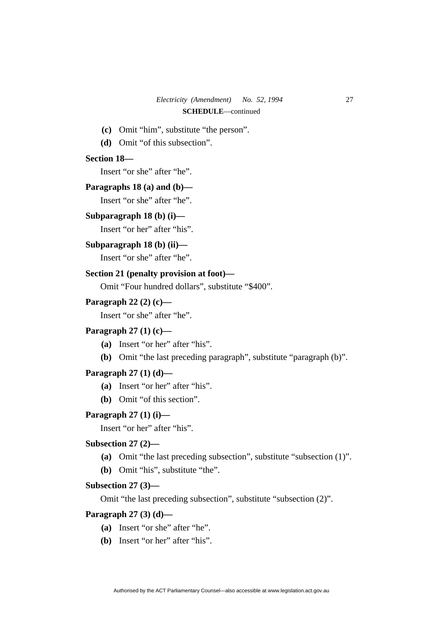- **(c)** Omit "him", substitute "the person".
- **(d)** Omit "of this subsection".

#### **Section 18—**

Insert "or she" after "he".

#### **Paragraphs 18 (a) and (b)—**

Insert "or she" after "he".

# **Subparagraph 18 (b) (i)—**

Insert "or her" after "his".

#### **Subparagraph 18 (b) (ii)—**

Insert "or she" after "he".

# **Section 21 (penalty provision at foot)—**

Omit "Four hundred dollars", substitute "\$400".

#### **Paragraph 22 (2) (c)—**

Insert "or she" after "he".

# **Paragraph 27 (1) (c)—**

- **(a)** Insert "or her" after "his".
- **(b)** Omit "the last preceding paragraph", substitute "paragraph (b)".

# **Paragraph 27 (1) (d)—**

- **(a)** Insert "or her" after "his".
- **(b)** Omit "of this section".

# **Paragraph 27 (1) (i)—**

Insert "or her" after "his".

# **Subsection 27 (2)—**

- **(a)** Omit "the last preceding subsection", substitute "subsection (1)".
- **(b)** Omit "his", substitute "the".

# **Subsection 27 (3)—**

Omit "the last preceding subsection", substitute "subsection (2)".

# **Paragraph 27 (3) (d)—**

- **(a)** Insert "or she" after "he".
- **(b)** Insert "or her" after "his".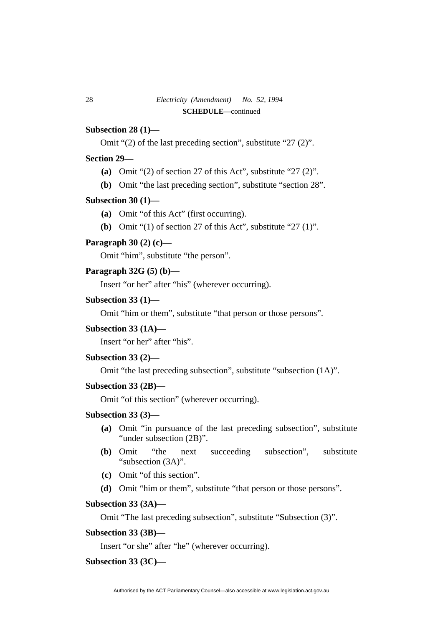# **Subsection 28 (1)—**

Omit "(2) of the last preceding section", substitute "27 (2)".

# **Section 29—**

- **(a)** Omit "(2) of section 27 of this Act", substitute "27 (2)".
- **(b)** Omit "the last preceding section", substitute "section 28".

# **Subsection 30 (1)—**

- **(a)** Omit "of this Act" (first occurring).
- **(b)** Omit "(1) of section 27 of this Act", substitute "27 (1)".

## **Paragraph 30 (2) (c)—**

Omit "him", substitute "the person".

#### **Paragraph 32G (5) (b)—**

Insert "or her" after "his" (wherever occurring).

# **Subsection 33 (1)—**

Omit "him or them", substitute "that person or those persons".

#### **Subsection 33 (1A)—**

Insert "or her" after "his".

#### **Subsection 33 (2)—**

Omit "the last preceding subsection", substitute "subsection (1A)".

# **Subsection 33 (2B)—**

Omit "of this section" (wherever occurring).

# **Subsection 33 (3)—**

- **(a)** Omit "in pursuance of the last preceding subsection", substitute "under subsection (2B)".
- **(b)** Omit "the next succeeding subsection", substitute "subsection (3A)".
- **(c)** Omit "of this section".
- **(d)** Omit "him or them", substitute "that person or those persons".

#### **Subsection 33 (3A)—**

Omit "The last preceding subsection", substitute "Subsection (3)".

#### **Subsection 33 (3B)—**

Insert "or she" after "he" (wherever occurring).

# **Subsection 33 (3C)—**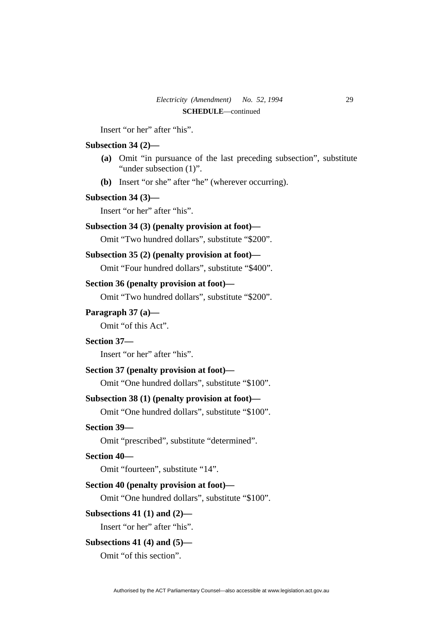Insert "or her" after "his".

# **Subsection 34 (2)—**

- **(a)** Omit "in pursuance of the last preceding subsection", substitute "under subsection (1)".
- **(b)** Insert "or she" after "he" (wherever occurring).

# **Subsection 34 (3)—**

Insert "or her" after "his".

# **Subsection 34 (3) (penalty provision at foot)—**

Omit "Two hundred dollars", substitute "\$200".

# **Subsection 35 (2) (penalty provision at foot)—**

Omit "Four hundred dollars", substitute "\$400".

#### **Section 36 (penalty provision at foot)—**

Omit "Two hundred dollars", substitute "\$200".

#### **Paragraph 37 (a)—**

Omit "of this Act".

# **Section 37—**

Insert "or her" after "his".

# **Section 37 (penalty provision at foot)—**

Omit "One hundred dollars", substitute "\$100".

# **Subsection 38 (1) (penalty provision at foot)—**

Omit "One hundred dollars", substitute "\$100".

# **Section 39—**

Omit "prescribed", substitute "determined".

# **Section 40—**

Omit "fourteen", substitute "14".

#### **Section 40 (penalty provision at foot)—**

Omit "One hundred dollars", substitute "\$100".

#### **Subsections 41 (1) and (2)—**

Insert "or her" after "his".

#### **Subsections 41 (4) and (5)—**

Omit "of this section".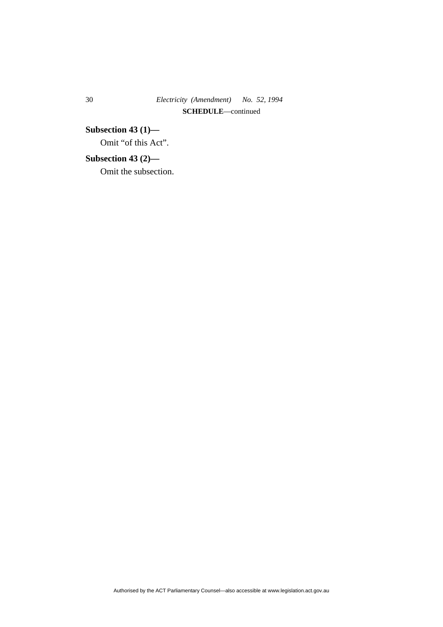# 30 *Electricity (Amendment) No. 52, 1994*  **SCHEDULE**—continued

**Subsection 43 (1)—**  Omit "of this Act".

**Subsection 43 (2)—** 

Omit the subsection.